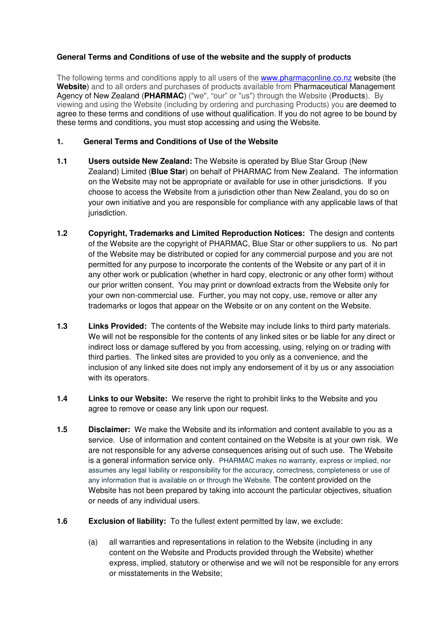# **General Terms and Conditions of use of the website and the supply of products**

The following terms and conditions apply to all users of the www.pharmaconline.co.nz website (the **Website**) and to all orders and purchases of products available from Pharmaceutical Management Agency of New Zealand (**PHARMAC**) ("we", "our" or "us") through the Website (**Products**). By viewing and using the Website (including by ordering and purchasing Products) you are deemed to agree to these terms and conditions of use without qualification. If you do not agree to be bound by these terms and conditions, you must stop accessing and using the Website.

## **1. General Terms and Conditions of Use of the Website**

- **1.1 Users outside New Zealand:** The Website is operated by Blue Star Group (New Zealand) Limited (**Blue Star**) on behalf of PHARMAC from New Zealand. The information on the Website may not be appropriate or available for use in other jurisdictions. If you choose to access the Website from a jurisdiction other than New Zealand, you do so on your own initiative and you are responsible for compliance with any applicable laws of that jurisdiction.
- **1.2 Copyright, Trademarks and Limited Reproduction Notices:** The design and contents of the Website are the copyright of PHARMAC, Blue Star or other suppliers to us. No part of the Website may be distributed or copied for any commercial purpose and you are not permitted for any purpose to incorporate the contents of the Website or any part of it in any other work or publication (whether in hard copy, electronic or any other form) without our prior written consent. You may print or download extracts from the Website only for your own non-commercial use. Further, you may not copy, use, remove or alter any trademarks or logos that appear on the Website or on any content on the Website.
- **1.3 Links Provided:** The contents of the Website may include links to third party materials. We will not be responsible for the contents of any linked sites or be liable for any direct or indirect loss or damage suffered by you from accessing, using, relying on or trading with third parties. The linked sites are provided to you only as a convenience, and the inclusion of any linked site does not imply any endorsement of it by us or any association with its operators.
- **1.4 Links to our Website:** We reserve the right to prohibit links to the Website and you agree to remove or cease any link upon our request.
- **1.5 Disclaimer:** We make the Website and its information and content available to you as a service. Use of information and content contained on the Website is at your own risk. We are not responsible for any adverse consequences arising out of such use. The Website is a general information service only. PHARMAC makes no warranty, express or implied, nor assumes any legal liability or responsibility for the accuracy, correctness, completeness or use of any information that is available on or through the Website. The content provided on the Website has not been prepared by taking into account the particular objectives, situation or needs of any individual users.
- **1.6 Exclusion of liability:** To the fullest extent permitted by law, we exclude:
	- (a) all warranties and representations in relation to the Website (including in any content on the Website and Products provided through the Website) whether express, implied, statutory or otherwise and we will not be responsible for any errors or misstatements in the Website;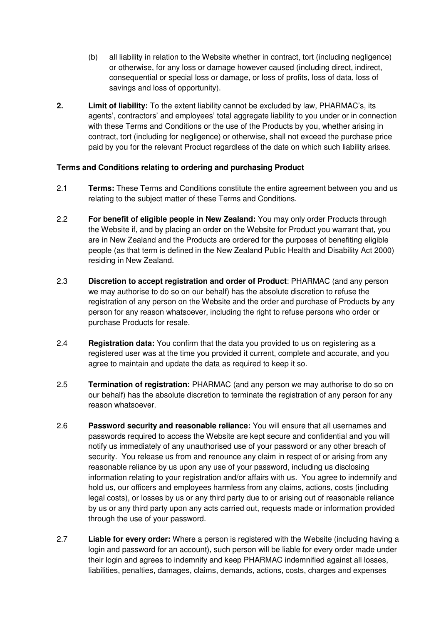- (b) all liability in relation to the Website whether in contract, tort (including negligence) or otherwise, for any loss or damage however caused (including direct, indirect, consequential or special loss or damage, or loss of profits, loss of data, loss of savings and loss of opportunity).
- **2. Limit of liability:** To the extent liability cannot be excluded by law, PHARMAC's, its agents', contractors' and employees' total aggregate liability to you under or in connection with these Terms and Conditions or the use of the Products by you, whether arising in contract, tort (including for negligence) or otherwise, shall not exceed the purchase price paid by you for the relevant Product regardless of the date on which such liability arises.

# **Terms and Conditions relating to ordering and purchasing Product**

- 2.1 **Terms:** These Terms and Conditions constitute the entire agreement between you and us relating to the subject matter of these Terms and Conditions.
- 2.2 **For benefit of eligible people in New Zealand:** You may only order Products through the Website if, and by placing an order on the Website for Product you warrant that, you are in New Zealand and the Products are ordered for the purposes of benefiting eligible people (as that term is defined in the New Zealand Public Health and Disability Act 2000) residing in New Zealand.
- 2.3 **Discretion to accept registration and order of Product**: PHARMAC (and any person we may authorise to do so on our behalf) has the absolute discretion to refuse the registration of any person on the Website and the order and purchase of Products by any person for any reason whatsoever, including the right to refuse persons who order or purchase Products for resale.
- 2.4 **Registration data:** You confirm that the data you provided to us on registering as a registered user was at the time you provided it current, complete and accurate, and you agree to maintain and update the data as required to keep it so.
- 2.5 **Termination of registration:** PHARMAC (and any person we may authorise to do so on our behalf) has the absolute discretion to terminate the registration of any person for any reason whatsoever.
- 2.6 **Password security and reasonable reliance:** You will ensure that all usernames and passwords required to access the Website are kept secure and confidential and you will notify us immediately of any unauthorised use of your password or any other breach of security. You release us from and renounce any claim in respect of or arising from any reasonable reliance by us upon any use of your password, including us disclosing information relating to your registration and/or affairs with us. You agree to indemnify and hold us, our officers and employees harmless from any claims, actions, costs (including legal costs), or losses by us or any third party due to or arising out of reasonable reliance by us or any third party upon any acts carried out, requests made or information provided through the use of your password.
- 2.7 **Liable for every order:** Where a person is registered with the Website (including having a login and password for an account), such person will be liable for every order made under their login and agrees to indemnify and keep PHARMAC indemnified against all losses, liabilities, penalties, damages, claims, demands, actions, costs, charges and expenses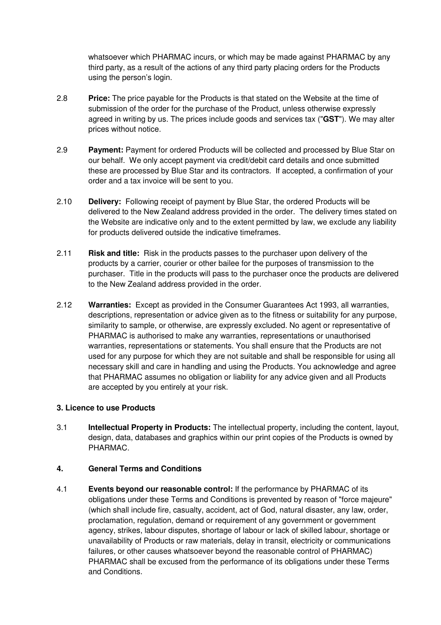whatsoever which PHARMAC incurs, or which may be made against PHARMAC by any third party, as a result of the actions of any third party placing orders for the Products using the person's login.

- 2.8 **Price:** The price payable for the Products is that stated on the Website at the time of submission of the order for the purchase of the Product, unless otherwise expressly agreed in writing by us. The prices include goods and services tax ("**GST**"). We may alter prices without notice.
- 2.9 **Payment:** Payment for ordered Products will be collected and processed by Blue Star on our behalf. We only accept payment via credit/debit card details and once submitted these are processed by Blue Star and its contractors. If accepted, a confirmation of your order and a tax invoice will be sent to you.
- 2.10 **Delivery:** Following receipt of payment by Blue Star, the ordered Products will be delivered to the New Zealand address provided in the order. The delivery times stated on the Website are indicative only and to the extent permitted by law, we exclude any liability for products delivered outside the indicative timeframes.
- 2.11 **Risk and title:** Risk in the products passes to the purchaser upon delivery of the products by a carrier, courier or other bailee for the purposes of transmission to the purchaser. Title in the products will pass to the purchaser once the products are delivered to the New Zealand address provided in the order.
- 2.12 **Warranties:** Except as provided in the Consumer Guarantees Act 1993, all warranties, descriptions, representation or advice given as to the fitness or suitability for any purpose, similarity to sample, or otherwise, are expressly excluded. No agent or representative of PHARMAC is authorised to make any warranties, representations or unauthorised warranties, representations or statements. You shall ensure that the Products are not used for any purpose for which they are not suitable and shall be responsible for using all necessary skill and care in handling and using the Products. You acknowledge and agree that PHARMAC assumes no obligation or liability for any advice given and all Products are accepted by you entirely at your risk.

### **3. Licence to use Products**

3.1 **Intellectual Property in Products:** The intellectual property, including the content, layout, design, data, databases and graphics within our print copies of the Products is owned by PHARMAC.

### **4. General Terms and Conditions**

4.1 **Events beyond our reasonable control:** If the performance by PHARMAC of its obligations under these Terms and Conditions is prevented by reason of "force majeure" (which shall include fire, casualty, accident, act of God, natural disaster, any law, order, proclamation, regulation, demand or requirement of any government or government agency, strikes, labour disputes, shortage of labour or lack of skilled labour, shortage or unavailability of Products or raw materials, delay in transit, electricity or communications failures, or other causes whatsoever beyond the reasonable control of PHARMAC) PHARMAC shall be excused from the performance of its obligations under these Terms and Conditions.